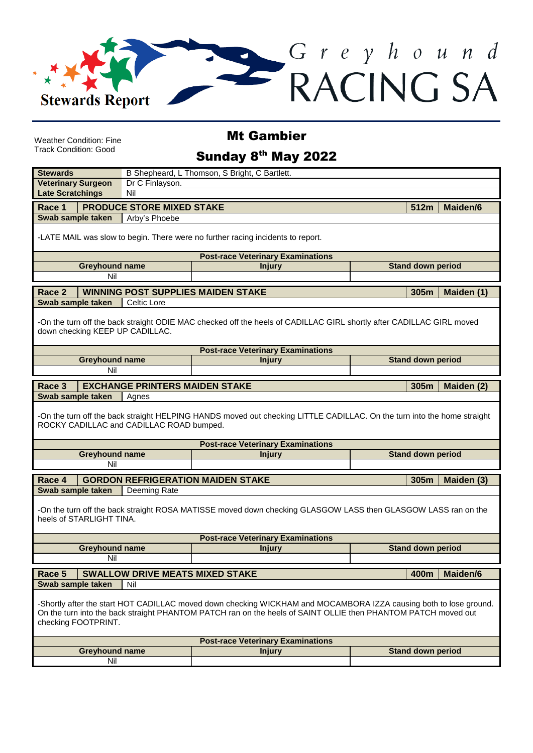

Weather Condition: Fine Track Condition: Good

Mt Gambier

## Sunday 8<sup>th</sup> May 2022

| <b>Stewards</b>                                                                                                                                         |                                                                                                                                                                     | B Shepheard, L Thomson, S Bright, C Bartlett. |                                                                                                                                                                                                                                    |                          |  |  |
|---------------------------------------------------------------------------------------------------------------------------------------------------------|---------------------------------------------------------------------------------------------------------------------------------------------------------------------|-----------------------------------------------|------------------------------------------------------------------------------------------------------------------------------------------------------------------------------------------------------------------------------------|--------------------------|--|--|
| <b>Veterinary Surgeon</b>                                                                                                                               |                                                                                                                                                                     | Dr C Finlayson.                               |                                                                                                                                                                                                                                    |                          |  |  |
| <b>Late Scratchings</b>                                                                                                                                 |                                                                                                                                                                     | Nil                                           |                                                                                                                                                                                                                                    |                          |  |  |
| Race 1                                                                                                                                                  |                                                                                                                                                                     | <b>PRODUCE STORE MIXED STAKE</b>              |                                                                                                                                                                                                                                    | <b>Maiden/6</b><br>512m  |  |  |
| Swab sample taken                                                                                                                                       |                                                                                                                                                                     | Arby's Phoebe                                 |                                                                                                                                                                                                                                    |                          |  |  |
| -LATE MAIL was slow to begin. There were no further racing incidents to report.                                                                         |                                                                                                                                                                     |                                               |                                                                                                                                                                                                                                    |                          |  |  |
| <b>Post-race Veterinary Examinations</b>                                                                                                                |                                                                                                                                                                     |                                               |                                                                                                                                                                                                                                    |                          |  |  |
| <b>Greyhound name</b>                                                                                                                                   |                                                                                                                                                                     |                                               | <b>Injury</b>                                                                                                                                                                                                                      | <b>Stand down period</b> |  |  |
|                                                                                                                                                         | Nil                                                                                                                                                                 |                                               |                                                                                                                                                                                                                                    |                          |  |  |
| Race 2                                                                                                                                                  |                                                                                                                                                                     |                                               | <b>WINNING POST SUPPLIES MAIDEN STAKE</b>                                                                                                                                                                                          | 305m<br>Maiden (1)       |  |  |
| Swab sample taken                                                                                                                                       |                                                                                                                                                                     | Celtic Lore                                   |                                                                                                                                                                                                                                    |                          |  |  |
| -On the turn off the back straight ODIE MAC checked off the heels of CADILLAC GIRL shortly after CADILLAC GIRL moved<br>down checking KEEP UP CADILLAC. |                                                                                                                                                                     |                                               |                                                                                                                                                                                                                                    |                          |  |  |
|                                                                                                                                                         |                                                                                                                                                                     |                                               | <b>Post-race Veterinary Examinations</b>                                                                                                                                                                                           |                          |  |  |
|                                                                                                                                                         | <b>Greyhound name</b>                                                                                                                                               |                                               | <b>Injury</b>                                                                                                                                                                                                                      | <b>Stand down period</b> |  |  |
|                                                                                                                                                         | Nil                                                                                                                                                                 |                                               |                                                                                                                                                                                                                                    |                          |  |  |
| Race 3                                                                                                                                                  |                                                                                                                                                                     | <b>EXCHANGE PRINTERS MAIDEN STAKE</b>         |                                                                                                                                                                                                                                    | 305m<br>Maiden (2)       |  |  |
| Swab sample taken                                                                                                                                       |                                                                                                                                                                     | Agnes                                         |                                                                                                                                                                                                                                    |                          |  |  |
|                                                                                                                                                         | -On the turn off the back straight HELPING HANDS moved out checking LITTLE CADILLAC. On the turn into the home straight<br>ROCKY CADILLAC and CADILLAC ROAD bumped. |                                               |                                                                                                                                                                                                                                    |                          |  |  |
|                                                                                                                                                         |                                                                                                                                                                     |                                               | <b>Post-race Veterinary Examinations</b>                                                                                                                                                                                           |                          |  |  |
|                                                                                                                                                         | <b>Greyhound name</b>                                                                                                                                               |                                               |                                                                                                                                                                                                                                    |                          |  |  |
|                                                                                                                                                         |                                                                                                                                                                     |                                               | <b>Injury</b>                                                                                                                                                                                                                      | <b>Stand down period</b> |  |  |
|                                                                                                                                                         | Nil                                                                                                                                                                 |                                               |                                                                                                                                                                                                                                    |                          |  |  |
| Race 4                                                                                                                                                  |                                                                                                                                                                     |                                               | <b>GORDON REFRIGERATION MAIDEN STAKE</b>                                                                                                                                                                                           | 305m<br>Maiden (3)       |  |  |
| Swab sample taken                                                                                                                                       |                                                                                                                                                                     | Deeming Rate                                  |                                                                                                                                                                                                                                    |                          |  |  |
|                                                                                                                                                         | heels of STARLIGHT TINA.                                                                                                                                            |                                               | -On the turn off the back straight ROSA MATISSE moved down checking GLASGOW LASS then GLASGOW LASS ran on the                                                                                                                      |                          |  |  |
|                                                                                                                                                         |                                                                                                                                                                     |                                               | <b>Post-race Veterinary Examinations</b>                                                                                                                                                                                           |                          |  |  |
|                                                                                                                                                         | <b>Greyhound name</b>                                                                                                                                               |                                               | <b>Injury</b>                                                                                                                                                                                                                      | <b>Stand down period</b> |  |  |
|                                                                                                                                                         | Nil                                                                                                                                                                 |                                               |                                                                                                                                                                                                                                    |                          |  |  |
| Race 5                                                                                                                                                  |                                                                                                                                                                     | <b>SWALLOW DRIVE MEATS MIXED STAKE</b>        |                                                                                                                                                                                                                                    | Maiden/6<br>400m         |  |  |
| Swab sample taken                                                                                                                                       |                                                                                                                                                                     | Nil                                           |                                                                                                                                                                                                                                    |                          |  |  |
|                                                                                                                                                         | checking FOOTPRINT.                                                                                                                                                 |                                               | -Shortly after the start HOT CADILLAC moved down checking WICKHAM and MOCAMBORA IZZA causing both to lose ground.<br>On the turn into the back straight PHANTOM PATCH ran on the heels of SAINT OLLIE then PHANTOM PATCH moved out |                          |  |  |
|                                                                                                                                                         |                                                                                                                                                                     |                                               | <b>Post-race Veterinary Examinations</b>                                                                                                                                                                                           |                          |  |  |
|                                                                                                                                                         | <b>Greyhound name</b><br>Nil                                                                                                                                        |                                               | <b>Injury</b>                                                                                                                                                                                                                      | <b>Stand down period</b> |  |  |